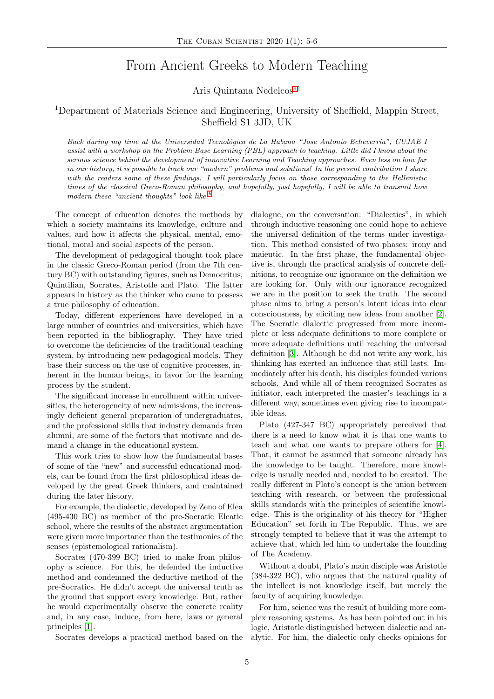## From Ancient Greeks to Modern Teaching

Aris Quintana Nedelcos[a1](#page-1-0)

## <sup>1</sup>Department of Materials Science and Engineering, University of Sheffield, Mappin Street, Sheffield S1 3JD, UK

Back during my time at the Universidad Tecnológica de La Habana "Jose Antonio Echeverría", CUJAE I assist with a workshop on the Problem Base Learning (PBL) approach to teaching. Little did I know about the serious science behind the development of innovative Learning and Teaching approaches. Even less on how far in our history, it is possible to track our "modern" problems and solutions! In the present contribution I share with the readers some of these findings. I will particularly focus on those corresponding to the Hellenistic times of the classical Greco-Roman philosophy, and hopefully, just hopefully, I will be able to transmit how modern these "ancient thoughts" look like.

The concept of education denotes the methods by which a society maintains its knowledge, culture and values, and how it affects the physical, mental, emotional, moral and social aspects of the person.

The development of pedagogical thought took place in the classic Greco-Roman period (from the 7th century BC) with outstanding figures, such as Democritus, Quintilian, Socrates, Aristotle and Plato. The latter appears in history as the thinker who came to possess a true philosophy of education.

Today, different experiences have developed in a large number of countries and universities, which have been reported in the bibliography. They have tried to overcome the deficiencies of the traditional teaching system, by introducing new pedagogical models. They base their success on the use of cognitive processes, inherent in the human beings, in favor for the learning process by the student.

The significant increase in enrollment within universities, the heterogeneity of new admissions, the increasingly deficient general preparation of undergraduates, and the professional skills that industry demands from alumni, are some of the factors that motivate and demand a change in the educational system.

This work tries to show how the fundamental bases of some of the "new" and successful educational models, can be found from the first philosophical ideas developed by the great Greek thinkers, and maintained during the later history.

For example, the dialectic, developed by Zeno of Elea (495-430 BC) as member of the pre-Socratic Eleatic school, where the results of the abstract argumentation were given more importance than the testimonies of the senses (epistemological rationalism).

Socrates (470-399 BC) tried to make from philosophy a science. For this, he defended the inductive method and condemned the deductive method of the pre-Socratics. He didn't accept the universal truth as the ground that support every knowledge. But, rather he would experimentally observe the concrete reality and, in any case, induce, from here, laws or general principles [\[1\]](#page-1-2).

Socrates develops a practical method based on the

dialogue, on the conversation: "Dialectics", in which through inductive reasoning one could hope to achieve the universal definition of the terms under investigation. This method consisted of two phases: irony and maieutic. In the first phase, the fundamental objective is, through the practical analysis of concrete definitions, to recognize our ignorance on the definition we are looking for. Only with our ignorance recognized we are in the position to seek the truth. The second phase aims to bring a person's latent ideas into clear consciousness, by eliciting new ideas from another [\[2\]](#page-1-3). The Socratic dialectic progressed from more incomplete or less adequate definitions to more complete or more adequate definitions until reaching the universal definition [\[3\]](#page-1-4). Although he did not write any work, his thinking has exerted an influence that still lasts. Immediately after his death, his disciples founded various schools. And while all of them recognized Socrates as initiator, each interpreted the master's teachings in a different way, sometimes even giving rise to incompatible ideas.

Plato (427-347 BC) appropriately perceived that there is a need to know what it is that one wants to teach and what one wants to prepare others for [\[4\]](#page-1-5). That, it cannot be assumed that someone already has the knowledge to be taught. Therefore, more knowledge is usually needed and, needed to be created. The really different in Plato's concept is the union between teaching with research, or between the professional skills standards with the principles of scientific knowledge. This is the originality of his theory for "Higher Education" set forth in The Republic. Thus, we are strongly tempted to believe that it was the attempt to achieve that, which led him to undertake the founding of The Academy.

Without a doubt, Plato's main disciple was Aristotle (384-322 BC), who argues that the natural quality of the intellect is not knowledge itself, but merely the faculty of acquiring knowledge.

For him, science was the result of building more complex reasoning systems. As has been pointed out in his logic, Aristotle distinguished between dialectic and analytic. For him, the dialectic only checks opinions for